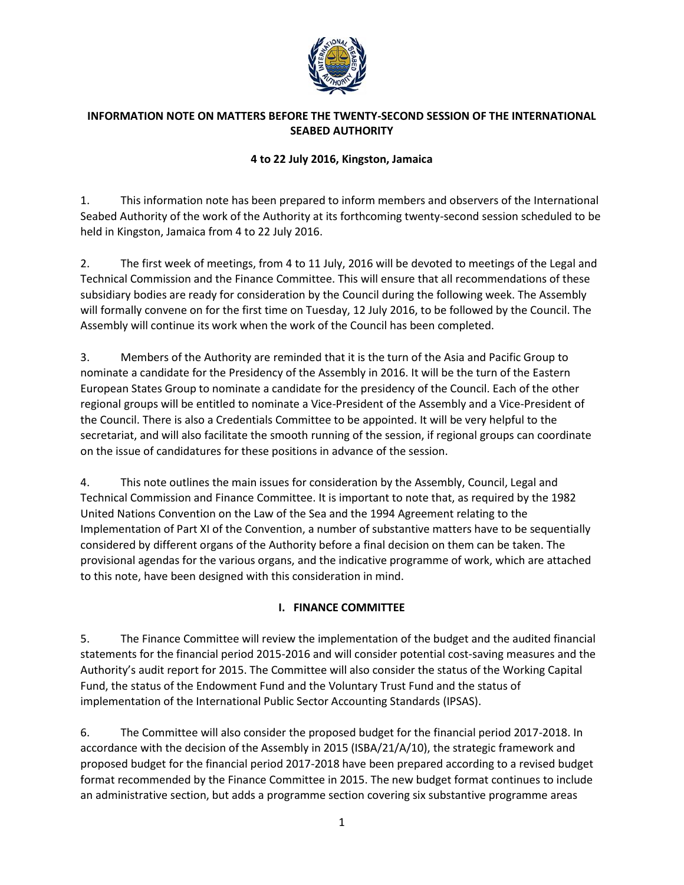

### **INFORMATION NOTE ON MATTERS BEFORE THE TWENTY-SECOND SESSION OF THE INTERNATIONAL SEABED AUTHORITY**

### **4 to 22 July 2016, Kingston, Jamaica**

1. This information note has been prepared to inform members and observers of the International Seabed Authority of the work of the Authority at its forthcoming twenty-second session scheduled to be held in Kingston, Jamaica from 4 to 22 July 2016.

2. The first week of meetings, from 4 to 11 July, 2016 will be devoted to meetings of the Legal and Technical Commission and the Finance Committee. This will ensure that all recommendations of these subsidiary bodies are ready for consideration by the Council during the following week. The Assembly will formally convene on for the first time on Tuesday, 12 July 2016, to be followed by the Council. The Assembly will continue its work when the work of the Council has been completed.

3. Members of the Authority are reminded that it is the turn of the Asia and Pacific Group to nominate a candidate for the Presidency of the Assembly in 2016. It will be the turn of the Eastern European States Group to nominate a candidate for the presidency of the Council. Each of the other regional groups will be entitled to nominate a Vice-President of the Assembly and a Vice-President of the Council. There is also a Credentials Committee to be appointed. It will be very helpful to the secretariat, and will also facilitate the smooth running of the session, if regional groups can coordinate on the issue of candidatures for these positions in advance of the session.

4. This note outlines the main issues for consideration by the Assembly, Council, Legal and Technical Commission and Finance Committee. It is important to note that, as required by the 1982 United Nations Convention on the Law of the Sea and the 1994 Agreement relating to the Implementation of Part XI of the Convention, a number of substantive matters have to be sequentially considered by different organs of the Authority before a final decision on them can be taken. The provisional agendas for the various organs, and the indicative programme of work, which are attached to this note, have been designed with this consideration in mind.

# **I. FINANCE COMMITTEE**

5. The Finance Committee will review the implementation of the budget and the audited financial statements for the financial period 2015-2016 and will consider potential cost-saving measures and the Authority's audit report for 2015. The Committee will also consider the status of the Working Capital Fund, the status of the Endowment Fund and the Voluntary Trust Fund and the status of implementation of the International Public Sector Accounting Standards (IPSAS).

6. The Committee will also consider the proposed budget for the financial period 2017-2018. In accordance with the decision of the Assembly in 2015 (ISBA/21/A/10), the strategic framework and proposed budget for the financial period 2017-2018 have been prepared according to a revised budget format recommended by the Finance Committee in 2015. The new budget format continues to include an administrative section, but adds a programme section covering six substantive programme areas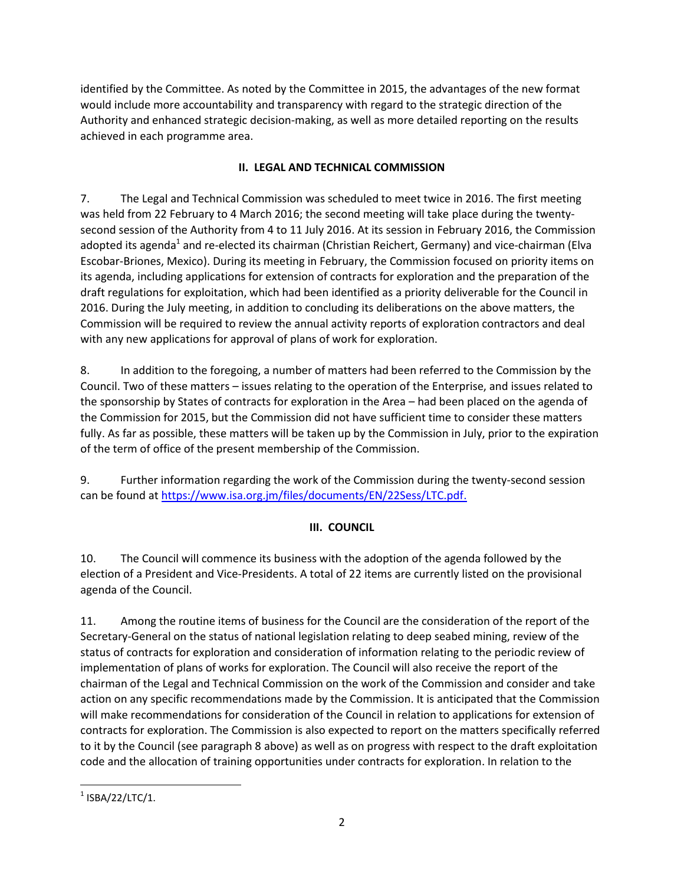identified by the Committee. As noted by the Committee in 2015, the advantages of the new format would include more accountability and transparency with regard to the strategic direction of the Authority and enhanced strategic decision-making, as well as more detailed reporting on the results achieved in each programme area.

## **II. LEGAL AND TECHNICAL COMMISSION**

7. The Legal and Technical Commission was scheduled to meet twice in 2016. The first meeting was held from 22 February to 4 March 2016; the second meeting will take place during the twentysecond session of the Authority from 4 to 11 July 2016. At its session in February 2016, the Commission adopted its agenda<sup>1</sup> and re-elected its chairman (Christian Reichert, Germany) and vice-chairman (Elva Escobar-Briones, Mexico). During its meeting in February, the Commission focused on priority items on its agenda, including applications for extension of contracts for exploration and the preparation of the draft regulations for exploitation, which had been identified as a priority deliverable for the Council in 2016. During the July meeting, in addition to concluding its deliberations on the above matters, the Commission will be required to review the annual activity reports of exploration contractors and deal with any new applications for approval of plans of work for exploration.

8. In addition to the foregoing, a number of matters had been referred to the Commission by the Council. Two of these matters – issues relating to the operation of the Enterprise, and issues related to the sponsorship by States of contracts for exploration in the Area – had been placed on the agenda of the Commission for 2015, but the Commission did not have sufficient time to consider these matters fully. As far as possible, these matters will be taken up by the Commission in July, prior to the expiration of the term of office of the present membership of the Commission.

9. Further information regarding the work of the Commission during the twenty-second session can be found at [https://www.isa.org.jm/files/documents/EN/22Sess/LTC.pdf.](https://www.isa.org.jm/files/documents/EN/22Sess/LTC.pdf)

# **III. COUNCIL**

10. The Council will commence its business with the adoption of the agenda followed by the election of a President and Vice-Presidents. A total of 22 items are currently listed on the provisional agenda of the Council.

11. Among the routine items of business for the Council are the consideration of the report of the Secretary-General on the status of national legislation relating to deep seabed mining, review of the status of contracts for exploration and consideration of information relating to the periodic review of implementation of plans of works for exploration. The Council will also receive the report of the chairman of the Legal and Technical Commission on the work of the Commission and consider and take action on any specific recommendations made by the Commission. It is anticipated that the Commission will make recommendations for consideration of the Council in relation to applications for extension of contracts for exploration. The Commission is also expected to report on the matters specifically referred to it by the Council (see paragraph 8 above) as well as on progress with respect to the draft exploitation code and the allocation of training opportunities under contracts for exploration. In relation to the

 $\overline{\phantom{a}}$  $1$  ISBA/22/LTC/1.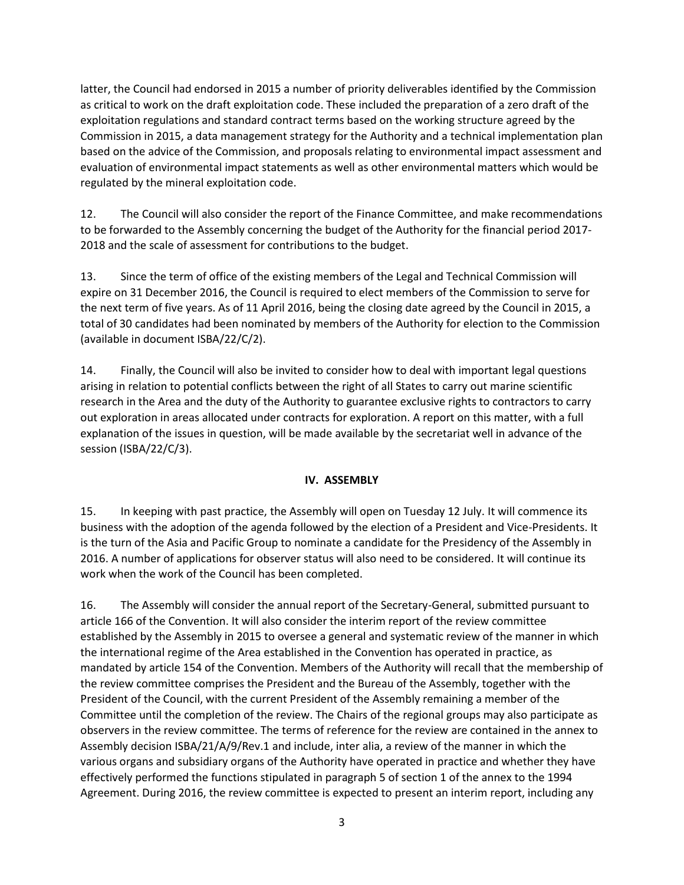latter, the Council had endorsed in 2015 a number of priority deliverables identified by the Commission as critical to work on the draft exploitation code. These included the preparation of a zero draft of the exploitation regulations and standard contract terms based on the working structure agreed by the Commission in 2015, a data management strategy for the Authority and a technical implementation plan based on the advice of the Commission, and proposals relating to environmental impact assessment and evaluation of environmental impact statements as well as other environmental matters which would be regulated by the mineral exploitation code.

12. The Council will also consider the report of the Finance Committee, and make recommendations to be forwarded to the Assembly concerning the budget of the Authority for the financial period 2017- 2018 and the scale of assessment for contributions to the budget.

13. Since the term of office of the existing members of the Legal and Technical Commission will expire on 31 December 2016, the Council is required to elect members of the Commission to serve for the next term of five years. As of 11 April 2016, being the closing date agreed by the Council in 2015, a total of 30 candidates had been nominated by members of the Authority for election to the Commission (available in document ISBA/22/C/2).

14. Finally, the Council will also be invited to consider how to deal with important legal questions arising in relation to potential conflicts between the right of all States to carry out marine scientific research in the Area and the duty of the Authority to guarantee exclusive rights to contractors to carry out exploration in areas allocated under contracts for exploration. A report on this matter, with a full explanation of the issues in question, will be made available by the secretariat well in advance of the session (ISBA/22/C/3).

### **IV. ASSEMBLY**

15. In keeping with past practice, the Assembly will open on Tuesday 12 July. It will commence its business with the adoption of the agenda followed by the election of a President and Vice-Presidents. It is the turn of the Asia and Pacific Group to nominate a candidate for the Presidency of the Assembly in 2016. A number of applications for observer status will also need to be considered. It will continue its work when the work of the Council has been completed.

16. The Assembly will consider the annual report of the Secretary-General, submitted pursuant to article 166 of the Convention. It will also consider the interim report of the review committee established by the Assembly in 2015 to oversee a general and systematic review of the manner in which the international regime of the Area established in the Convention has operated in practice, as mandated by article 154 of the Convention. Members of the Authority will recall that the membership of the review committee comprises the President and the Bureau of the Assembly, together with the President of the Council, with the current President of the Assembly remaining a member of the Committee until the completion of the review. The Chairs of the regional groups may also participate as observers in the review committee. The terms of reference for the review are contained in the annex to Assembly decision ISBA/21/A/9/Rev.1 and include, inter alia, a review of the manner in which the various organs and subsidiary organs of the Authority have operated in practice and whether they have effectively performed the functions stipulated in paragraph 5 of section 1 of the annex to the 1994 Agreement. During 2016, the review committee is expected to present an interim report, including any